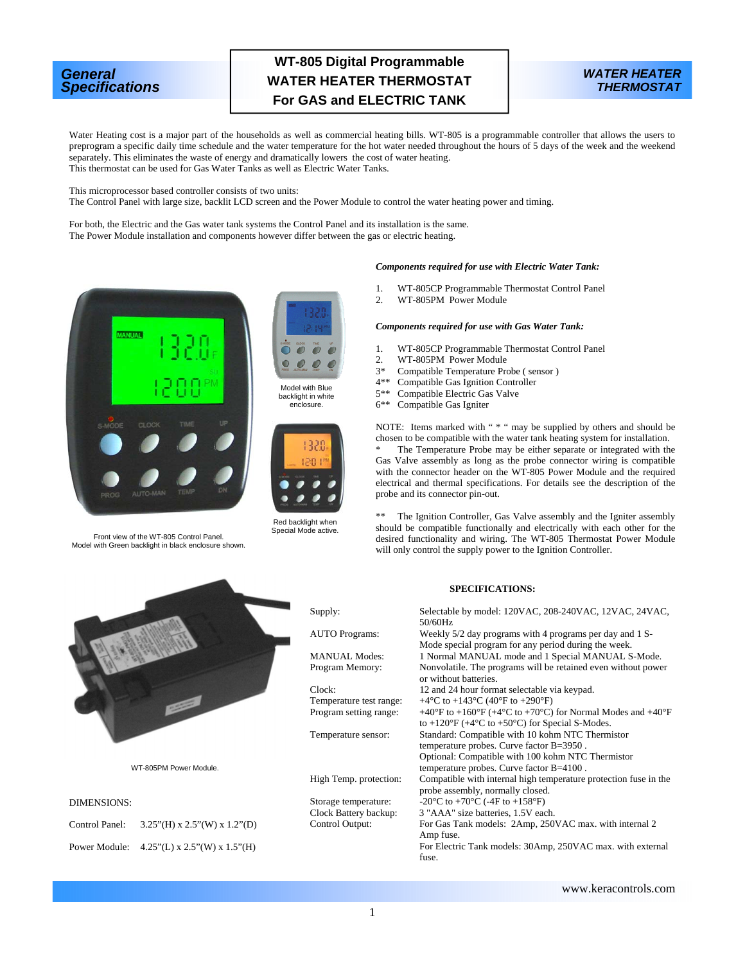# *General Specifications*

# **WT-805 Digital Programmable WATER HEATER THERMOSTAT For GAS and ELECTRIC TANK**



Water Heating cost is a major part of the households as well as commercial heating bills. WT-805 is a programmable controller that allows the users to preprogram a specific daily time schedule and the water temperature for the hot water needed throughout the hours of 5 days of the week and the weekend separately. This eliminates the waste of energy and dramatically lowers the cost of water heating. This thermostat can be used for Gas Water Tanks as well as Electric Water Tanks.

This microprocessor based controller consists of two units:

The Control Panel with large size, backlit LCD screen and the Power Module to control the water heating power and timing.

For both, the Electric and the Gas water tank systems the Control Panel and its installation is the same. The Power Module installation and components however differ between the gas or electric heating.





Model with Blue backlight in white enclosure.



Front view of the WT-805 Control Panel. Model with Green backlight in black enclosure shown.



Red backlight when Special Mode active.

#### *Components required for use with Electric Water Tank:*

- 1. WT-805CP Programmable Thermostat Control Panel<br>2 WT-805PM Power Module
- WT-805PM Power Module

#### *Components required for use with Gas Water Tank:*

- 1. WT-805CP Programmable Thermostat Control Panel<br>2. WT-805PM Power Module
- WT-805PM Power Module
- 3\* Compatible Temperature Probe (sensor)<br>4\*\* Compatible Gas Ignition Controller
- Compatible Gas Ignition Controller
- 5<sup>\*\*</sup> Compatible Electric Gas Valve<br>6<sup>\*\*</sup> Compatible Gas Igniter
- Compatible Gas Igniter

NOTE: Items marked with " \* " may be supplied by others and should be chosen to be compatible with the water tank heating system for installation.

The Temperature Probe may be either separate or integrated with the Gas Valve assembly as long as the probe connector wiring is compatible with the connector header on the WT-805 Power Module and the required electrical and thermal specifications. For details see the description of the probe and its connector pin-out.

\*\* The Ignition Controller, Gas Valve assembly and the Igniter assembly should be compatible functionally and electrically with each other for the desired functionality and wiring. The WT-805 Thermostat Power Module will only control the supply power to the Ignition Controller.

## **SPECIFICATIONS:**

| Supply:                 | Selectable by model: 120VAC, 208-240VAC, 12VAC, 24VAC,<br>50/60Hz                                                                                                      |
|-------------------------|------------------------------------------------------------------------------------------------------------------------------------------------------------------------|
| <b>AUTO</b> Programs:   | Weekly 5/2 day programs with 4 programs per day and 1 S-<br>Mode special program for any period during the week.                                                       |
| <b>MANUAL Modes:</b>    | 1 Normal MANUAL mode and 1 Special MANUAL S-Mode.                                                                                                                      |
| Program Memory:         | Nonvolatile. The programs will be retained even without power<br>or without batteries.                                                                                 |
| Clock                   | 12 and 24 hour format selectable via keypad.                                                                                                                           |
| Temperature test range: | +4 °C to +143 °C (40 °F to +290 °F)                                                                                                                                    |
| Program setting range:  | +40°F to +160°F (+4°C to +70°C) for Normal Modes and +40°F<br>to +120 $\mathrm{^{\circ}F}$ (+4 $\mathrm{^{\circ}C}$ to +50 $\mathrm{^{\circ}C}$ ) for Special S-Modes. |
| Temperature sensor:     | Standard: Compatible with 10 kohm NTC Thermistor                                                                                                                       |
|                         | temperature probes. Curve factor B=3950.                                                                                                                               |
|                         | Optional: Compatible with 100 kohm NTC Thermistor                                                                                                                      |
|                         | temperature probes. Curve factor B=4100.                                                                                                                               |
| High Temp. protection:  | Compatible with internal high temperature protection fuse in the                                                                                                       |
|                         | probe assembly, normally closed.                                                                                                                                       |
| Storage temperature:    | -20 $\rm{^{\circ}C}$ to +70 $\rm{^{\circ}C}$ (-4F to +158 $\rm{^{\circ}F}$ )                                                                                           |
| Clock Battery backup:   | 3 "AAA" size batteries, 1.5V each.                                                                                                                                     |
| Control Output:         | For Gas Tank models: 2Amp, 250VAC max. with internal 2<br>Amp fuse.                                                                                                    |
|                         | For Electric Tank models: 30Amp, 250VAC max. with external<br>fuse.                                                                                                    |
|                         |                                                                                                                                                                        |



# DIMENSIONS:

| Control Panel: | $3.25$ "(H) x 2.5"(W) x 1.2"(D)               |
|----------------|-----------------------------------------------|
|                | Power Module: $4.25$ "(L) x 2.5"(W) x 1.5"(H) |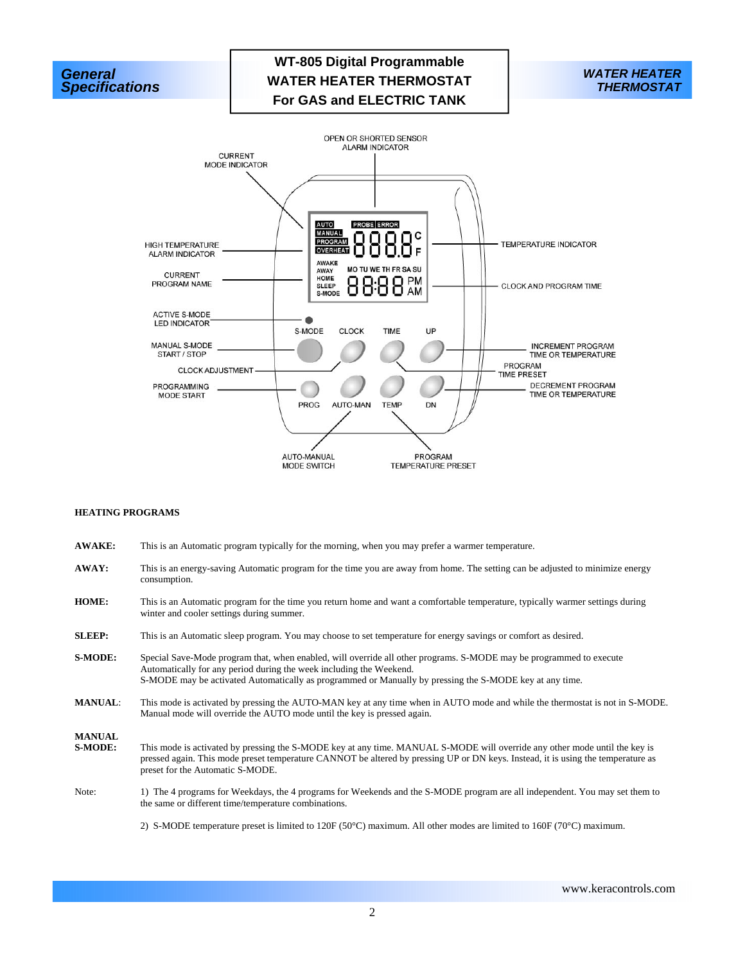





#### **HEATING PROGRAMS**

- **AWAKE:** This is an Automatic program typically for the morning, when you may prefer a warmer temperature.
- **AWAY:** This is an energy-saving Automatic program for the time you are away from home. The setting can be adjusted to minimize energy consumption.
- **HOME:** This is an Automatic program for the time you return home and want a comfortable temperature, typically warmer settings during winter and cooler settings during summer.
- **SLEEP:** This is an Automatic sleep program. You may choose to set temperature for energy savings or comfort as desired.
- **S-MODE:** Special Save-Mode program that, when enabled, will override all other programs. S-MODE may be programmed to execute Automatically for any period during the week including the Weekend. S-MODE may be activated Automatically as programmed or Manually by pressing the S-MODE key at any time.
- **MANUAL**: This mode is activated by pressing the AUTO-MAN key at any time when in AUTO mode and while the thermostat is not in S-MODE. Manual mode will override the AUTO mode until the key is pressed again.

**MANUAL** 

- **S-MODE:** This mode is activated by pressing the S-MODE key at any time. MANUAL S-MODE will override any other mode until the key is pressed again. This mode preset temperature CANNOT be altered by pressing UP or DN keys. Instead, it is using the temperature as preset for the Automatic S-MODE.
- Note: 1) The 4 programs for Weekdays, the 4 programs for Weekends and the S-MODE program are all independent. You may set them to the same or different time/temperature combinations.
	- 2) S-MODE temperature preset is limited to 120F (50°C) maximum. All other modes are limited to 160F (70°C) maximum.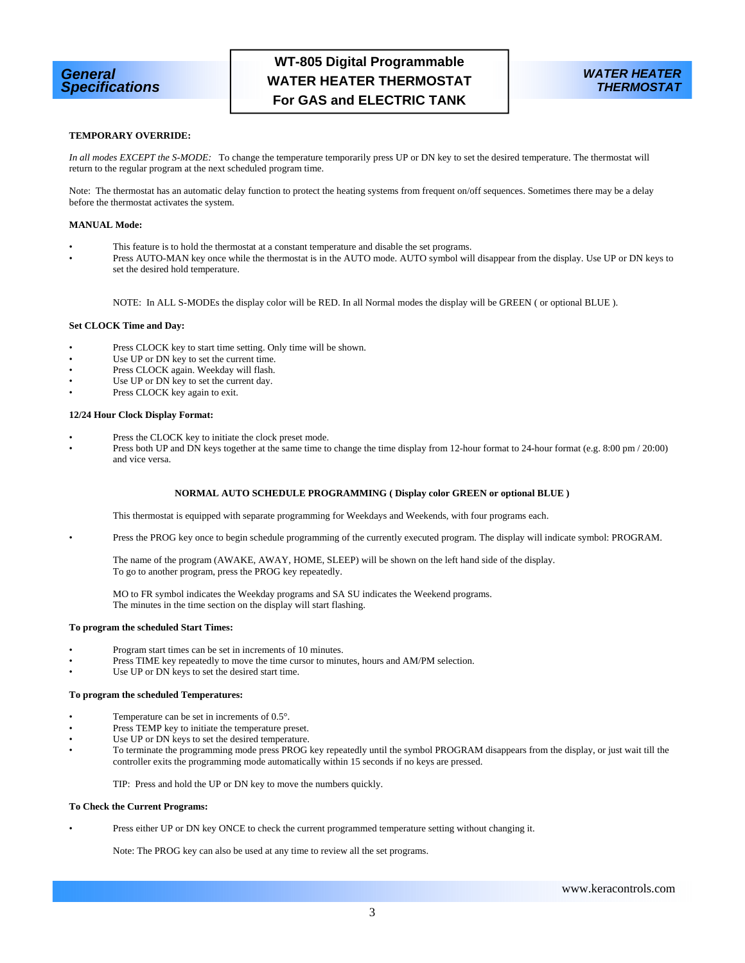

## **TEMPORARY OVERRIDE:**

*In all modes EXCEPT the S-MODE:* To change the temperature temporarily press UP or DN key to set the desired temperature. The thermostat will return to the regular program at the next scheduled program time.

Note: The thermostat has an automatic delay function to protect the heating systems from frequent on/off sequences. Sometimes there may be a delay before the thermostat activates the system.

#### **MANUAL Mode:**

- This feature is to hold the thermostat at a constant temperature and disable the set programs.
	- Press AUTO-MAN key once while the thermostat is in the AUTO mode. AUTO symbol will disappear from the display. Use UP or DN keys to set the desired hold temperature.

NOTE: In ALL S-MODEs the display color will be RED. In all Normal modes the display will be GREEN ( or optional BLUE ).

#### **Set CLOCK Time and Day:**

- Press CLOCK key to start time setting. Only time will be shown.
- Use UP or DN key to set the current time.
- Press CLOCK again. Weekday will flash.
- Use UP or DN key to set the current day.
- Press CLOCK key again to exit.

### **12/24 Hour Clock Display Format:**

- Press the CLOCK key to initiate the clock preset mode.
- Press both UP and DN keys together at the same time to change the time display from 12-hour format to 24-hour format (e.g. 8:00 pm / 20:00) and vice versa.

#### **NORMAL AUTO SCHEDULE PROGRAMMING ( Display color GREEN or optional BLUE )**

This thermostat is equipped with separate programming for Weekdays and Weekends, with four programs each.

• Press the PROG key once to begin schedule programming of the currently executed program. The display will indicate symbol: PROGRAM.

 The name of the program (AWAKE, AWAY, HOME, SLEEP) will be shown on the left hand side of the display. To go to another program, press the PROG key repeatedly.

 MO to FR symbol indicates the Weekday programs and SA SU indicates the Weekend programs. The minutes in the time section on the display will start flashing.

#### **To program the scheduled Start Times:**

- Program start times can be set in increments of 10 minutes.
- Press TIME key repeatedly to move the time cursor to minutes, hours and AM/PM selection.
- Use UP or DN keys to set the desired start time.

#### **To program the scheduled Temperatures:**

- Temperature can be set in increments of 0.5°.
- Press TEMP key to initiate the temperature preset.
- Use UP or DN keys to set the desired temperature.
- To terminate the programming mode press PROG key repeatedly until the symbol PROGRAM disappears from the display, or just wait till the controller exits the programming mode automatically within 15 seconds if no keys are pressed.

TIP: Press and hold the UP or DN key to move the numbers quickly.

#### **To Check the Current Programs:**

• Press either UP or DN key ONCE to check the current programmed temperature setting without changing it.

Note: The PROG key can also be used at any time to review all the set programs.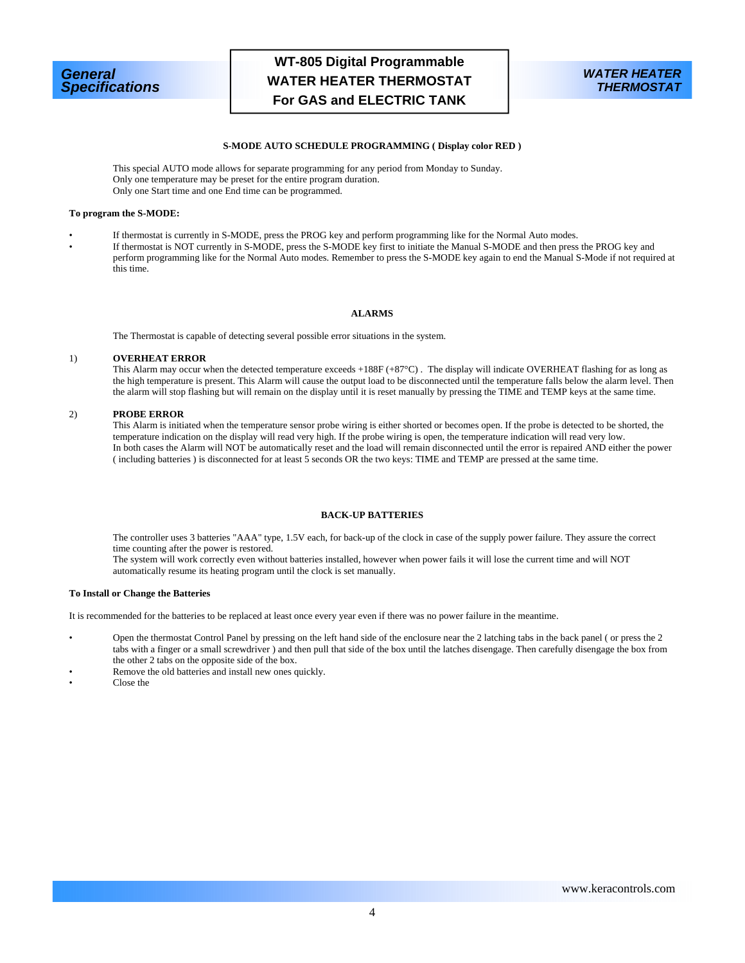



### **S-MODE AUTO SCHEDULE PROGRAMMING ( Display color RED )**

 This special AUTO mode allows for separate programming for any period from Monday to Sunday. Only one temperature may be preset for the entire program duration. Only one Start time and one End time can be programmed.

## **To program the S-MODE:**

• If thermostat is currently in S-MODE, press the PROG key and perform programming like for the Normal Auto modes.

• If thermostat is NOT currently in S-MODE, press the S-MODE key first to initiate the Manual S-MODE and then press the PROG key and perform programming like for the Normal Auto modes. Remember to press the S-MODE key again to end the Manual S-Mode if not required at this time.

#### **ALARMS**

The Thermostat is capable of detecting several possible error situations in the system.

#### 1) **OVERHEAT ERROR**

 This Alarm may occur when the detected temperature exceeds +188F (+87°C) . The display will indicate OVERHEAT flashing for as long as the high temperature is present. This Alarm will cause the output load to be disconnected until the temperature falls below the alarm level. Then the alarm will stop flashing but will remain on the display until it is reset manually by pressing the TIME and TEMP keys at the same time.

## 2) **PROBE ERROR**

 This Alarm is initiated when the temperature sensor probe wiring is either shorted or becomes open. If the probe is detected to be shorted, the temperature indication on the display will read very high. If the probe wiring is open, the temperature indication will read very low. In both cases the Alarm will NOT be automatically reset and the load will remain disconnected until the error is repaired AND either the power ( including batteries ) is disconnected for at least 5 seconds OR the two keys: TIME and TEMP are pressed at the same time.

### **BACK-UP BATTERIES**

 The controller uses 3 batteries "AAA" type, 1.5V each, for back-up of the clock in case of the supply power failure. They assure the correct time counting after the power is restored.

 The system will work correctly even without batteries installed, however when power fails it will lose the current time and will NOT automatically resume its heating program until the clock is set manually.

### **To Install or Change the Batteries**

It is recommended for the batteries to be replaced at least once every year even if there was no power failure in the meantime.

- Open the thermostat Control Panel by pressing on the left hand side of the enclosure near the 2 latching tabs in the back panel ( or press the 2 tabs with a finger or a small screwdriver ) and then pull that side of the box until the latches disengage. Then carefully disengage the box from the other 2 tabs on the opposite side of the box.
- Remove the old batteries and install new ones quickly.
- Close the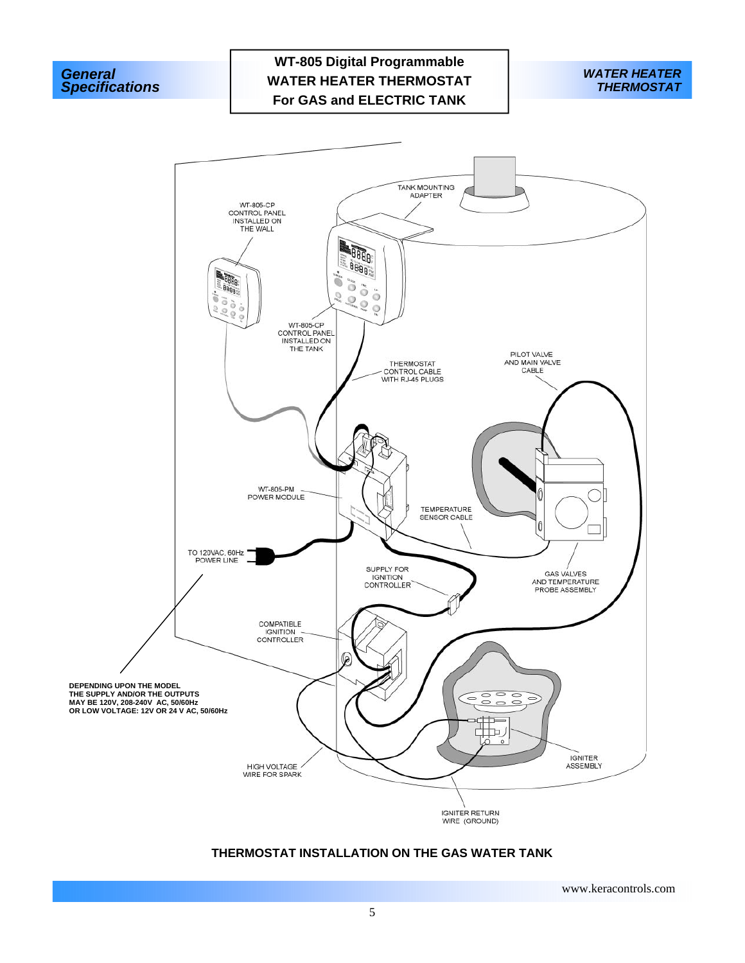





# **THERMOSTAT INSTALLATION ON THE GAS WATER TANK**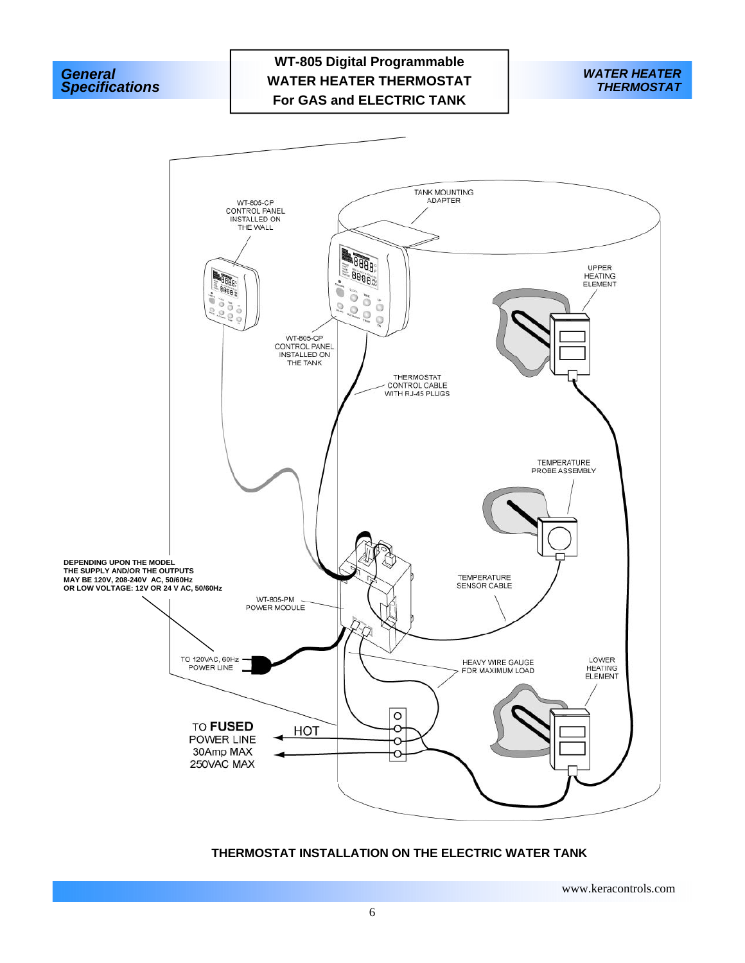





# **THERMOSTAT INSTALLATION ON THE ELECTRIC WATER TANK**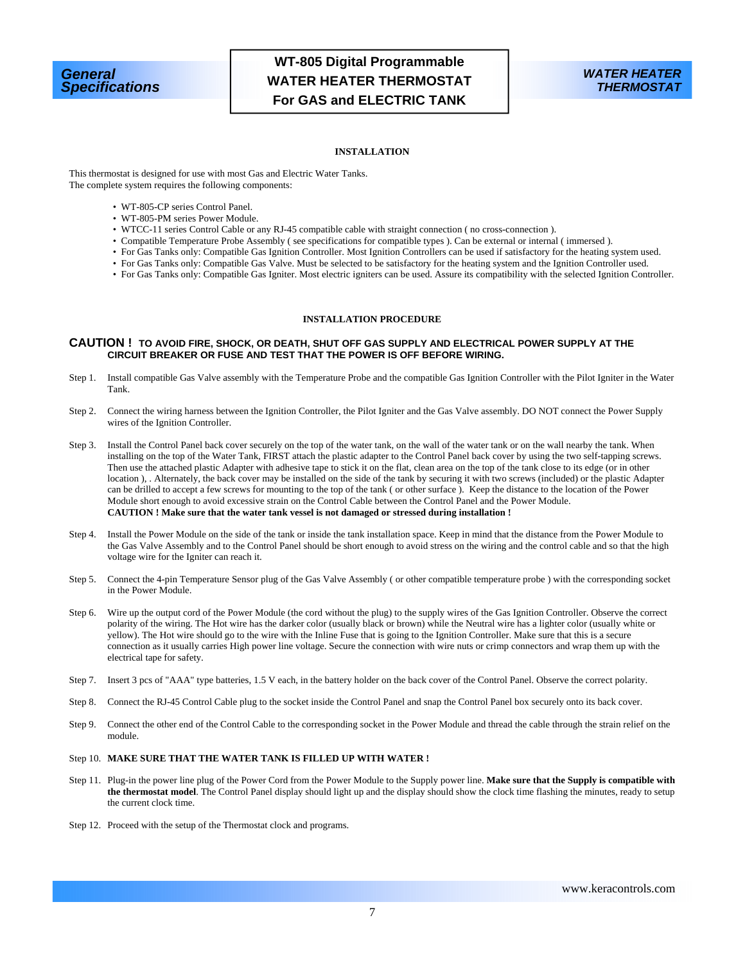



### **INSTALLATION**

This thermostat is designed for use with most Gas and Electric Water Tanks. The complete system requires the following components:

- WT-805-CP series Control Panel.
- WT-805-PM series Power Module.
- WTCC-11 series Control Cable or any RJ-45 compatible cable with straight connection ( no cross-connection ).
- Compatible Temperature Probe Assembly ( see specifications for compatible types ). Can be external or internal ( immersed ).
- For Gas Tanks only: Compatible Gas Ignition Controller. Most Ignition Controllers can be used if satisfactory for the heating system used.
- For Gas Tanks only: Compatible Gas Valve. Must be selected to be satisfactory for the heating system and the Ignition Controller used.
- For Gas Tanks only: Compatible Gas Igniter. Most electric igniters can be used. Assure its compatibility with the selected Ignition Controller.

## **INSTALLATION PROCEDURE**

#### **CAUTION ! TO AVOID FIRE, SHOCK, OR DEATH, SHUT OFF GAS SUPPLY AND ELECTRICAL POWER SUPPLY AT THE CIRCUIT BREAKER OR FUSE AND TEST THAT THE POWER IS OFF BEFORE WIRING.**

- Step 1. Install compatible Gas Valve assembly with the Temperature Probe and the compatible Gas Ignition Controller with the Pilot Igniter in the Water Tank.
- Step 2. Connect the wiring harness between the Ignition Controller, the Pilot Igniter and the Gas Valve assembly. DO NOT connect the Power Supply wires of the Ignition Controller.
- Step 3. Install the Control Panel back cover securely on the top of the water tank, on the wall of the water tank or on the wall nearby the tank. When installing on the top of the Water Tank, FIRST attach the plastic adapter to the Control Panel back cover by using the two self-tapping screws. Then use the attached plastic Adapter with adhesive tape to stick it on the flat, clean area on the top of the tank close to its edge (or in other location ), . Alternately, the back cover may be installed on the side of the tank by securing it with two screws (included) or the plastic Adapter can be drilled to accept a few screws for mounting to the top of the tank ( or other surface ).Keep the distance to the location of the Power Module short enough to avoid excessive strain on the Control Cable between the Control Panel and the Power Module. **CAUTION ! Make sure that the water tank vessel is not damaged or stressed during installation !**
- Step 4. Install the Power Module on the side of the tank or inside the tank installation space. Keep in mind that the distance from the Power Module to the Gas Valve Assembly and to the Control Panel should be short enough to avoid stress on the wiring and the control cable and so that the high voltage wire for the Igniter can reach it.
- Step 5. Connect the 4-pin Temperature Sensor plug of the Gas Valve Assembly ( or other compatible temperature probe ) with the corresponding socket in the Power Module.
- Step 6. Wire up the output cord of the Power Module (the cord without the plug) to the supply wires of the Gas Ignition Controller. Observe the correct polarity of the wiring. The Hot wire has the darker color (usually black or brown) while the Neutral wire has a lighter color (usually white or yellow). The Hot wire should go to the wire with the Inline Fuse that is going to the Ignition Controller. Make sure that this is a secure connection as it usually carries High power line voltage. Secure the connection with wire nuts or crimp connectors and wrap them up with the electrical tape for safety.
- Step 7. Insert 3 pcs of "AAA" type batteries, 1.5 V each, in the battery holder on the back cover of the Control Panel. Observe the correct polarity.
- Step 8. Connect the RJ-45 Control Cable plug to the socket inside the Control Panel and snap the Control Panel box securely onto its back cover.
- Step 9. Connect the other end of the Control Cable to the corresponding socket in the Power Module and thread the cable through the strain relief on the module.

### Step 10. **MAKE SURE THAT THE WATER TANK IS FILLED UP WITH WATER !**

- Step 11. Plug-in the power line plug of the Power Cord from the Power Module to the Supply power line. **Make sure that the Supply is compatible with the thermostat model**. The Control Panel display should light up and the display should show the clock time flashing the minutes, ready to setup the current clock time.
- Step 12. Proceed with the setup of the Thermostat clock and programs.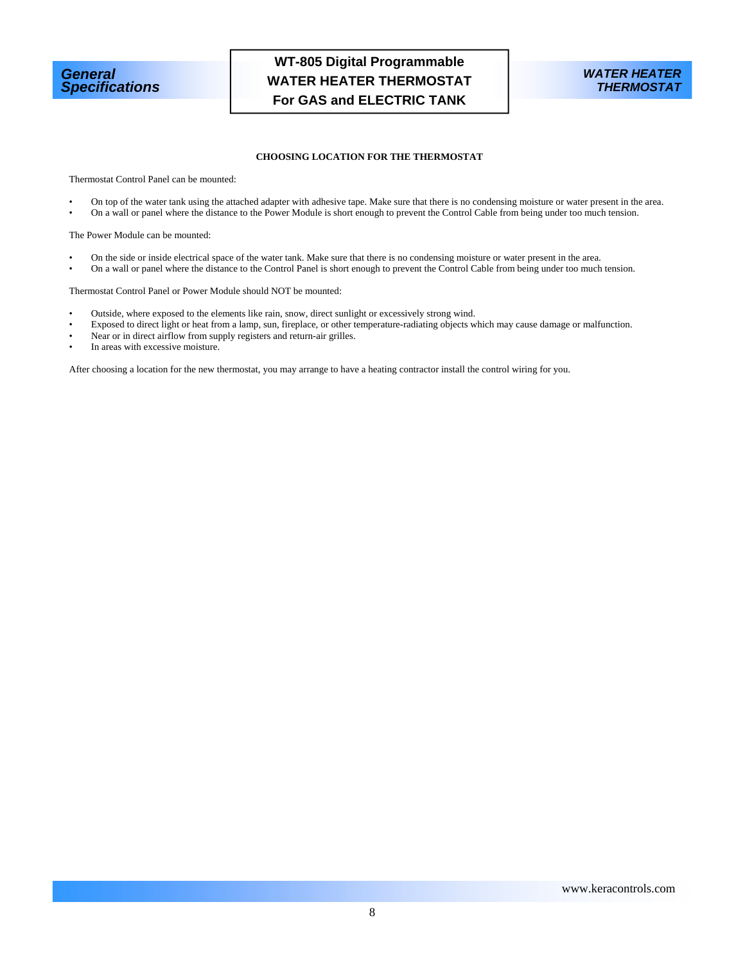



## **CHOOSING LOCATION FOR THE THERMOSTAT**

Thermostat Control Panel can be mounted:

- On top of the water tank using the attached adapter with adhesive tape. Make sure that there is no condensing moisture or water present in the area.
- On a wall or panel where the distance to the Power Module is short enough to prevent the Control Cable from being under too much tension.

The Power Module can be mounted:

- On the side or inside electrical space of the water tank. Make sure that there is no condensing moisture or water present in the area.
- On a wall or panel where the distance to the Control Panel is short enough to prevent the Control Cable from being under too much tension.

#### Thermostat Control Panel or Power Module should NOT be mounted:

- Outside, where exposed to the elements like rain, snow, direct sunlight or excessively strong wind.
- Exposed to direct light or heat from a lamp, sun, fireplace, or other temperature-radiating objects which may cause damage or malfunction.
- Near or in direct airflow from supply registers and return-air grilles.
- In areas with excessive moisture.

After choosing a location for the new thermostat, you may arrange to have a heating contractor install the control wiring for you.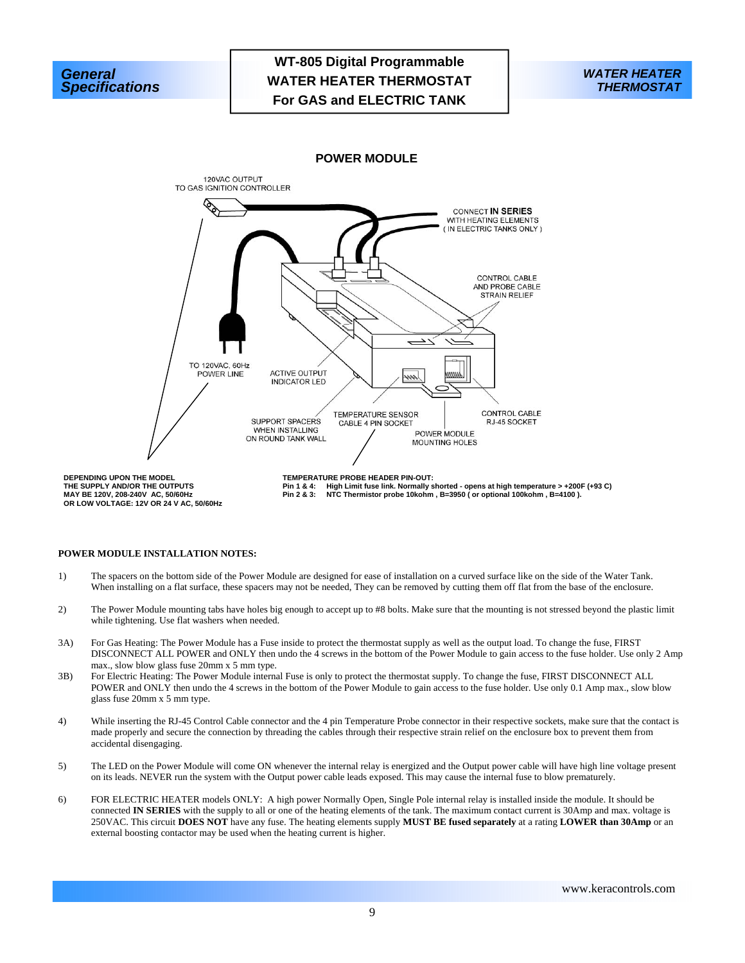



**POWER MODULE** 



**THE SUPPLY AND/OR THE OUTPUTS MAY BE 120V, 208-240V AC, 50/60Hz OR LOW VOLTAGE: 12V OR 24 V AC, 50/60Hz**  **Pin 1 & 4: High Limit fuse link. Normally shorted - opens at high temperature > +200F (+93 C) Pin 2 & 3: NTC Thermistor probe 10kohm , B=3950 ( or optional 100kohm , B=4100 ).** 

### **POWER MODULE INSTALLATION NOTES:**

- 1) The spacers on the bottom side of the Power Module are designed for ease of installation on a curved surface like on the side of the Water Tank. When installing on a flat surface, these spacers may not be needed, They can be removed by cutting them off flat from the base of the enclosure.
- 2) The Power Module mounting tabs have holes big enough to accept up to #8 bolts. Make sure that the mounting is not stressed beyond the plastic limit while tightening. Use flat washers when needed.
- 3A) For Gas Heating: The Power Module has a Fuse inside to protect the thermostat supply as well as the output load. To change the fuse, FIRST DISCONNECT ALL POWER and ONLY then undo the 4 screws in the bottom of the Power Module to gain access to the fuse holder. Use only 2 Amp max., slow blow glass fuse 20mm x 5 mm type.
- 3B) For Electric Heating: The Power Module internal Fuse is only to protect the thermostat supply. To change the fuse, FIRST DISCONNECT ALL POWER and ONLY then undo the 4 screws in the bottom of the Power Module to gain access to the fuse holder. Use only 0.1 Amp max., slow blow glass fuse 20mm x 5 mm type.
- 4) While inserting the RJ-45 Control Cable connector and the 4 pin Temperature Probe connector in their respective sockets, make sure that the contact is made properly and secure the connection by threading the cables through their respective strain relief on the enclosure box to prevent them from accidental disengaging.
- 5) The LED on the Power Module will come ON whenever the internal relay is energized and the Output power cable will have high line voltage present on its leads. NEVER run the system with the Output power cable leads exposed. This may cause the internal fuse to blow prematurely.
- 6) FOR ELECTRIC HEATER models ONLY: A high power Normally Open, Single Pole internal relay is installed inside the module. It should be connected **IN SERIES** with the supply to all or one of the heating elements of the tank. The maximum contact current is 30Amp and max. voltage is 250VAC. This circuit **DOES NOT** have any fuse. The heating elements supply **MUST BE fused separately** at a rating **LOWER than 30Amp** or an external boosting contactor may be used when the heating current is higher.